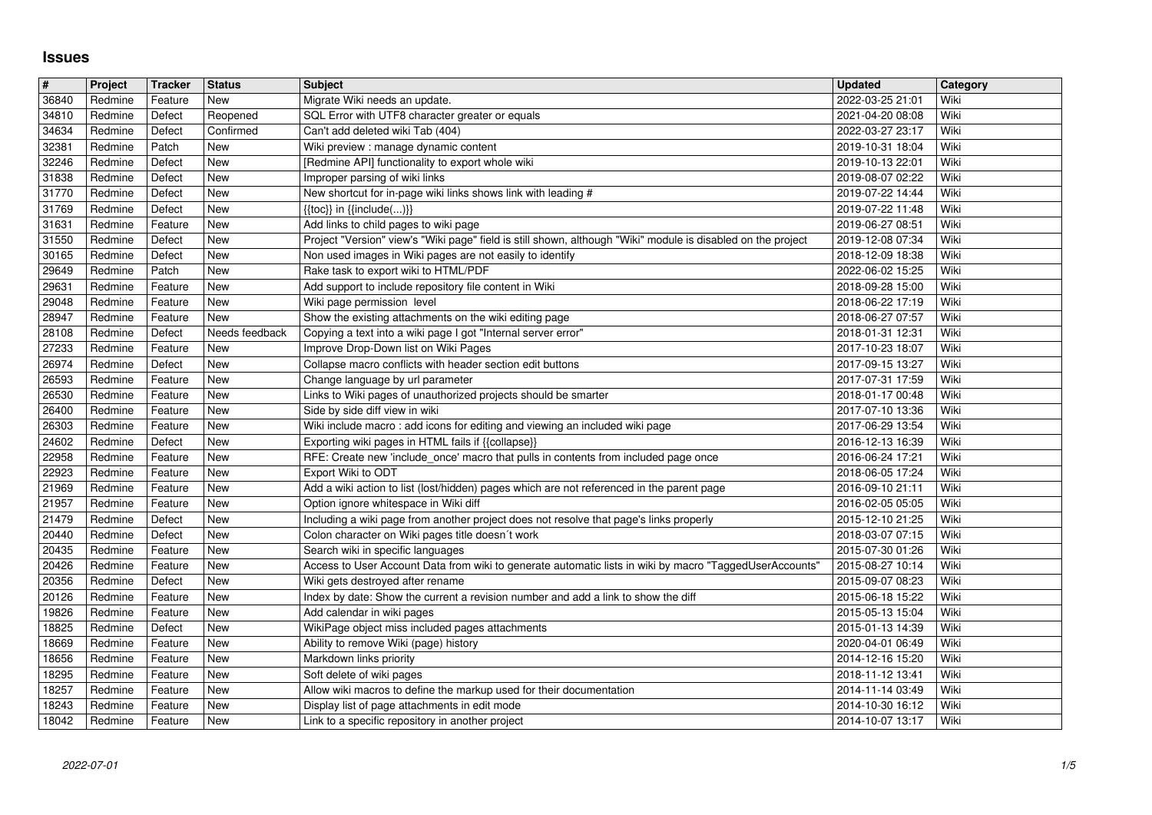## **Issues**

| $\#$           | Project            | Tracker            | <b>Status</b>            | <b>Subject</b>                                                                                                                               | <b>Updated</b>                       | Category     |
|----------------|--------------------|--------------------|--------------------------|----------------------------------------------------------------------------------------------------------------------------------------------|--------------------------------------|--------------|
| 36840<br>34810 | Redmine<br>Redmine | Feature<br>Defect  | New<br>Reopened          | Migrate Wiki needs an update.<br>SQL Error with UTF8 character greater or equals                                                             | 2022-03-25 21:01<br>2021-04-20 08:08 | Wiki<br>Wiki |
| 34634          | Redmine            | Defect             | Confirmed                | Can't add deleted wiki Tab (404)                                                                                                             | 2022-03-27 23:17                     | Wiki         |
| 32381<br>32246 | Redmine<br>Redmine | Patch<br>Defect    | New<br>New               | Wiki preview : manage dynamic content<br>[Redmine API] functionality to export whole wiki                                                    | 2019-10-31 18:04<br>2019-10-13 22:01 | Wiki<br>Wiki |
| 31838          | Redmine            | Defect             | New                      | Improper parsing of wiki links                                                                                                               | 2019-08-07 02:22                     | Wiki         |
| 31770          | Redmine            | Defect             | New                      | New shortcut for in-page wiki links shows link with leading #                                                                                | 2019-07-22 14:44                     | Wiki         |
| 31769<br>31631 | Redmine<br>Redmine | Defect<br>Feature  | <b>New</b><br><b>New</b> | $\{\{\textsf{toc}\}\}\$ in $\{\{\textsf{include}()\}\}$<br>Add links to child pages to wiki page                                             | 2019-07-22 11:48<br>2019-06-27 08:51 | Wiki<br>Wiki |
| 31550          | Redmine            | Defect             | <b>New</b>               | Project "Version" view's "Wiki page" field is still shown, although "Wiki" module is disabled on the project                                 | 2019-12-08 07:34                     | Wiki         |
| 30165          | Redmine            | Defect             | <b>New</b><br><b>New</b> | Non used images in Wiki pages are not easily to identify                                                                                     | 2018-12-09 18:38                     | Wiki<br>Wiki |
| 29649<br>29631 | Redmine<br>Redmine | Patch<br>Feature   | New                      | Rake task to export wiki to HTML/PDF<br>Add support to include repository file content in Wiki                                               | 2022-06-02 15:25<br>2018-09-28 15:00 | Wiki         |
| 29048          | Redmine            | Feature            | <b>New</b>               | Wiki page permission level                                                                                                                   | 2018-06-22 17:19                     | Wiki         |
| 28947<br>28108 | Redmine<br>Redmine | Feature<br>Defect  | New<br>Needs feedback    | Show the existing attachments on the wiki editing page<br>Copying a text into a wiki page I got "Internal server error"                      | 2018-06-27 07:57<br>2018-01-31 12:31 | Wiki<br>Wiki |
| 27233          | Redmine            | Feature            | New                      | Improve Drop-Down list on Wiki Pages                                                                                                         | 2017-10-23 18:07                     | Wiki         |
| 26974          | Redmine            | Defect             | New                      | Collapse macro conflicts with header section edit buttons                                                                                    | 2017-09-15 13:27                     | Wiki         |
| 26593<br>26530 | Redmine<br>Redmine | Feature<br>Feature | <b>New</b><br><b>New</b> | Change language by url parameter<br>Links to Wiki pages of unauthorized projects should be smarter                                           | 2017-07-31 17:59<br>2018-01-17 00:48 | Wiki<br>Wiki |
| 26400          | Redmine            | Feature            | New                      | Side by side diff view in wiki                                                                                                               | 2017-07-10 13:36                     | Wiki         |
| 26303          | Redmine            | Feature            | New<br><b>New</b>        | Wiki include macro: add icons for editing and viewing an included wiki page                                                                  | 2017-06-29 13:54                     | Wiki         |
| 24602<br>22958 | Redmine<br>Redmine | Defect<br>Feature  | <b>New</b>               | Exporting wiki pages in HTML fails if {{collapse}}<br>RFE: Create new 'include_once' macro that pulls in contents from included page once    | 2016-12-13 16:39<br>2016-06-24 17:21 | Wiki<br>Wiki |
| 22923          | Redmine            | Feature            | New                      | Export Wiki to ODT                                                                                                                           | 2018-06-05 17:24                     | Wiki         |
| 21969<br>21957 | Redmine<br>Redmine | Feature            | New<br>New               | Add a wiki action to list (lost/hidden) pages which are not referenced in the parent page<br>Option ignore whitespace in Wiki diff           | 2016-09-10 21:11                     | Wiki<br>Wiki |
| 21479          | Redmine            | Feature<br>Defect  | <b>New</b>               | Including a wiki page from another project does not resolve that page's links properly                                                       | 2016-02-05 05:05<br>2015-12-10 21:25 | Wiki         |
| 20440          | Redmine            | Defect             | <b>New</b>               | Colon character on Wiki pages title doesn't work                                                                                             | 2018-03-07 07:15                     | Wiki         |
| 20435<br>20426 | Redmine<br>Redmine | Feature<br>Feature | <b>New</b><br>New        | Search wiki in specific languages<br>Access to User Account Data from wiki to generate automatic lists in wiki by macro "TaggedUserAccounts' | 2015-07-30 01:26<br>2015-08-27 10:14 | Wiki<br>Wiki |
| 20356          | Redmine            | Defect             | <b>New</b>               | Wiki gets destroyed after rename                                                                                                             | 2015-09-07 08:23                     | Wiki         |
| 20126          | Redmine            | Feature            | New                      | Index by date: Show the current a revision number and add a link to show the diff                                                            | 2015-06-18 15:22                     | Wiki         |
| 19826          | Redmine            | Feature            | New                      | Add calendar in wiki pages                                                                                                                   | 2015-05-13 15:04                     | Wiki         |
| 18825<br>18669 | Redmine<br>Redmine | Defect<br>Feature  | New<br>New               | WikiPage object miss included pages attachments<br>Ability to remove Wiki (page) history                                                     | 2015-01-13 14:39<br>2020-04-01 06:49 | Wiki<br>Wiki |
| 18656          | Redmine            | Feature            | <b>New</b>               | Markdown links priority                                                                                                                      | 2014-12-16 15:20                     | Wiki         |
| 18295<br>18257 | Redmine<br>Redmine | Feature            | New<br>New               | Soft delete of wiki pages<br>Allow wiki macros to define the markup used for their documentation                                             | 2018-11-12 13:41                     | Wiki<br>Wiki |
| 18243          | Redmine            | Feature<br>Feature | New                      | Display list of page attachments in edit mode                                                                                                | 2014-11-14 03:49<br>2014-10-30 16:12 | Wiki         |
| 18042          | Redmine            | Feature            | New                      | Link to a specific repository in another project                                                                                             | 2014-10-07 13:17                     | Wiki         |
|                |                    |                    |                          |                                                                                                                                              |                                      |              |
|                |                    |                    |                          |                                                                                                                                              |                                      |              |
|                |                    |                    |                          |                                                                                                                                              |                                      |              |
|                |                    |                    |                          |                                                                                                                                              |                                      |              |
|                |                    |                    |                          |                                                                                                                                              |                                      |              |
|                |                    |                    |                          |                                                                                                                                              |                                      |              |
|                |                    |                    |                          |                                                                                                                                              |                                      |              |
|                |                    |                    |                          |                                                                                                                                              |                                      |              |
|                |                    |                    |                          |                                                                                                                                              |                                      |              |
|                |                    |                    |                          |                                                                                                                                              |                                      |              |
|                |                    |                    |                          |                                                                                                                                              |                                      |              |
|                |                    |                    |                          |                                                                                                                                              |                                      |              |
|                |                    |                    |                          |                                                                                                                                              |                                      |              |
|                |                    |                    |                          |                                                                                                                                              |                                      |              |
|                |                    |                    |                          |                                                                                                                                              |                                      |              |
|                |                    |                    |                          |                                                                                                                                              |                                      |              |
|                |                    |                    |                          |                                                                                                                                              |                                      |              |
|                |                    |                    |                          |                                                                                                                                              |                                      |              |
|                |                    |                    |                          |                                                                                                                                              |                                      |              |
|                |                    |                    |                          |                                                                                                                                              |                                      |              |
|                |                    |                    |                          |                                                                                                                                              |                                      |              |
|                |                    |                    |                          |                                                                                                                                              |                                      |              |
|                |                    |                    |                          |                                                                                                                                              |                                      |              |
|                |                    |                    |                          |                                                                                                                                              |                                      |              |
|                |                    |                    |                          |                                                                                                                                              |                                      |              |
|                |                    |                    |                          |                                                                                                                                              |                                      |              |
|                |                    |                    |                          |                                                                                                                                              |                                      |              |
|                |                    |                    |                          |                                                                                                                                              |                                      |              |
|                |                    |                    |                          |                                                                                                                                              |                                      |              |
|                |                    |                    |                          |                                                                                                                                              |                                      |              |
|                |                    |                    |                          |                                                                                                                                              |                                      |              |
|                |                    |                    |                          |                                                                                                                                              |                                      |              |
|                |                    |                    |                          |                                                                                                                                              |                                      |              |
|                |                    |                    |                          |                                                                                                                                              |                                      |              |
|                |                    |                    |                          |                                                                                                                                              |                                      |              |
|                |                    |                    |                          |                                                                                                                                              |                                      |              |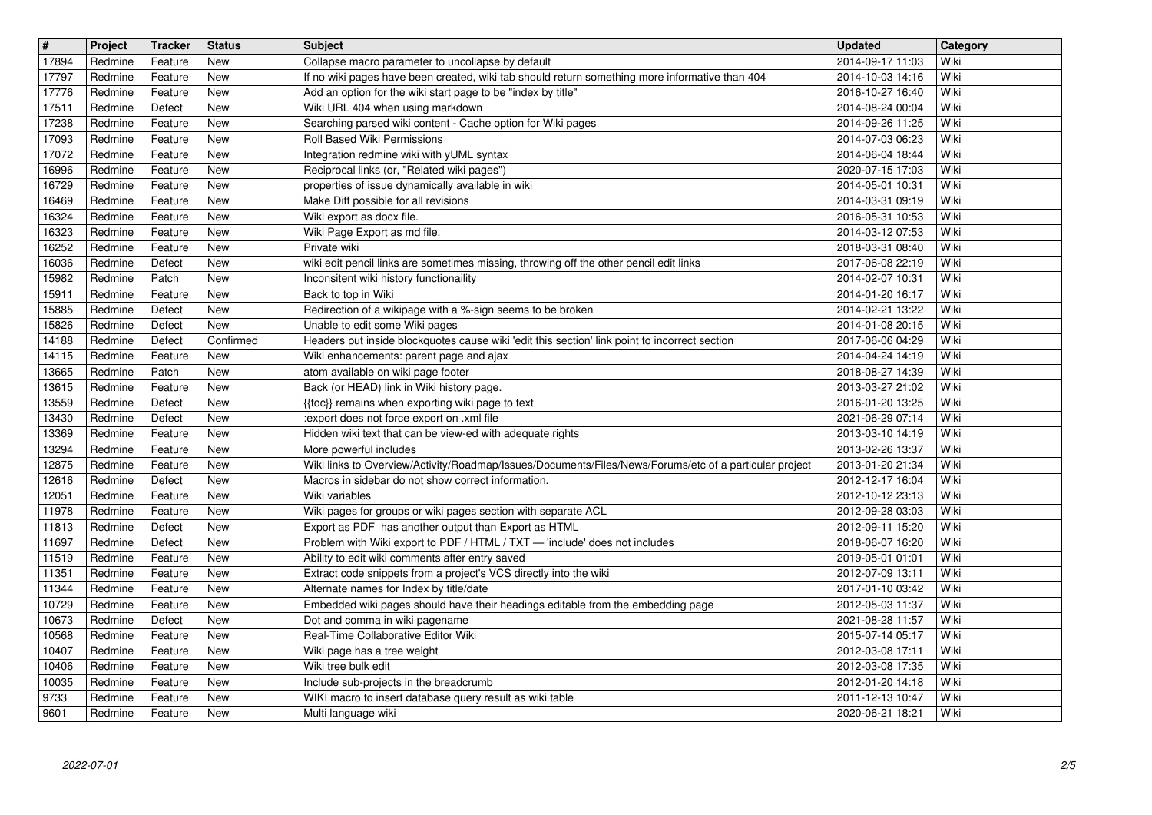| 17894<br>17797<br>17776<br>17511 | Redmine<br>Redmine<br>Redmine | Feature<br>Feature | New<br>New               | Collapse macro parameter to uncollapse by default<br>If no wiki pages have been created, wiki tab should return something more informative than 404 | 2014-09-17 11:03<br>2014-10-03 14:16 | Wiki<br>Wiki |
|----------------------------------|-------------------------------|--------------------|--------------------------|-----------------------------------------------------------------------------------------------------------------------------------------------------|--------------------------------------|--------------|
|                                  |                               |                    |                          |                                                                                                                                                     |                                      |              |
|                                  | Redmine                       | Feature<br>Defect  | <b>New</b><br><b>New</b> | Add an option for the wiki start page to be "index by title"<br>Wiki URL 404 when using markdown                                                    | 2016-10-27 16:40<br>2014-08-24 00:04 | Wiki<br>Wiki |
| 17238                            | Redmine                       | Feature            | New                      | Searching parsed wiki content - Cache option for Wiki pages                                                                                         | 2014-09-26 11:25                     | Wiki         |
| 17093<br>17072                   | Redmine<br>Redmine            | Feature<br>Feature | New<br>New               | Roll Based Wiki Permissions<br>Integration redmine wiki with yUML syntax                                                                            | 2014-07-03 06:23<br>2014-06-04 18:44 | Wiki<br>Wiki |
| 16996<br>16729                   | Redmine<br>Redmine            | Feature<br>Feature | New<br>New               | Reciprocal links (or, "Related wiki pages")<br>properties of issue dynamically available in wiki                                                    | 2020-07-15 17:03<br>2014-05-01 10:31 | Wiki<br>Wiki |
| 16469                            | Redmine                       | Feature            | New                      | Make Diff possible for all revisions                                                                                                                | 2014-03-31 09:19                     | Wiki         |
| 16324<br>16323                   | Redmine<br>Redmine            | Feature<br>Feature | <b>New</b><br><b>New</b> | Wiki export as docx file.<br>Wiki Page Export as md file.                                                                                           | 2016-05-31 10:53<br>2014-03-12 07:53 | Wiki<br>Wiki |
| 16252<br>16036                   | Redmine<br>Redmine            | Feature<br>Defect  | <b>New</b><br>New        | Private wiki<br>wiki edit pencil links are sometimes missing, throwing off the other pencil edit links                                              | 2018-03-31 08:40<br>2017-06-08 22:19 | Wiki<br>Wiki |
| 15982                            | Redmine                       | Patch              | New                      | Inconsitent wiki history functionaility                                                                                                             | 2014-02-07 10:31                     | Wiki         |
| 15911<br>15885                   | Redmine<br>Redmine            | Feature<br>Defect  | New<br>New               | Back to top in Wiki<br>Redirection of a wikipage with a %-sign seems to be broken                                                                   | 2014-01-20 16:17<br>2014-02-21 13:22 | Wiki<br>Wiki |
| 15826<br>14188                   | Redmine<br>Redmine            | Defect<br>Defect   | New<br>Confirmed         | Unable to edit some Wiki pages<br>Headers put inside blockquotes cause wiki 'edit this section' link point to incorrect section                     | 2014-01-08 20:15<br>2017-06-06 04:29 | Wiki<br>Wiki |
| 14115                            | Redmine                       | Feature            | New                      | Wiki enhancements: parent page and ajax                                                                                                             | 2014-04-24 14:19                     | Wiki         |
| 13665<br>13615                   | Redmine<br>Redmine            | Patch<br>Feature   | <b>New</b><br>New        | atom available on wiki page footer<br>Back (or HEAD) link in Wiki history page.                                                                     | 2018-08-27 14:39<br>2013-03-27 21:02 | Wiki<br>Wiki |
| 13559<br>13430                   | Redmine<br>Redmine            | Defect<br>Defect   | New<br>New               | {{toc}} remains when exporting wiki page to text<br>:export does not force export on .xml file                                                      | 2016-01-20 13:25<br>2021-06-29 07:14 | Wiki<br>Wiki |
| 13369                            | Redmine                       | Feature            | New                      | Hidden wiki text that can be view-ed with adequate rights                                                                                           | 2013-03-10 14:19                     | Wiki         |
| 13294<br>12875                   | Redmine<br>Redmine            | Feature<br>Feature | New<br>New               | More powerful includes<br>Wiki links to Overview/Activity/Roadmap/Issues/Documents/Files/News/Forums/etc of a particular project                    | 2013-02-26 13:37<br>2013-01-20 21:34 | Wiki<br>Wiki |
| 12616<br>12051                   | Redmine<br>Redmine            | Defect<br>Feature  | New<br><b>New</b>        | Macros in sidebar do not show correct information.<br>Wiki variables                                                                                | 2012-12-17 16:04<br>2012-10-12 23:13 | Wiki<br>Wiki |
| 11978                            | Redmine                       | Feature            | <b>New</b>               | Wiki pages for groups or wiki pages section with separate ACL                                                                                       | 2012-09-28 03:03                     | Wiki         |
| 11813<br>11697                   | Redmine<br>Redmine            | Defect<br>Defect   | New<br>New               | Export as PDF has another output than Export as HTML<br>Problem with Wiki export to PDF / HTML / TXT - 'include' does not includes                  | 2012-09-11 15:20<br>2018-06-07 16:20 | Wiki<br>Wiki |
| 11519<br>11351                   | Redmine<br>Redmine            | Feature<br>Feature | New<br>New               | Ability to edit wiki comments after entry saved<br>Extract code snippets from a project's VCS directly into the wiki                                | 2019-05-01 01:01<br>2012-07-09 13:11 | Wiki<br>Wiki |
| 11344                            | Redmine                       | Feature            | New                      | Alternate names for Index by title/date                                                                                                             | 2017-01-10 03:42                     | Wiki         |
| 10729<br>10673                   | Redmine<br>Redmine            | Feature<br>Defect  | New<br>New               | Embedded wiki pages should have their headings editable from the embedding page<br>Dot and comma in wiki pagename                                   | 2012-05-03 11:37<br>2021-08-28 11:57 | Wiki<br>Wiki |
| 10568<br>10407                   | Redmine<br>Redmine            | Feature<br>Feature | New<br>New               | Real-Time Collaborative Editor Wiki<br>Wiki page has a tree weight                                                                                  | 2015-07-14 05:17<br>2012-03-08 17:11 | Wiki<br>Wiki |
| 10406                            | Redmine                       | Feature            | New                      | Wiki tree bulk edit                                                                                                                                 | 2012-03-08 17:35                     | Wiki         |
| 10035<br>9733                    | Redmine<br>Redmine            | Feature<br>Feature | New<br>New               | Include sub-projects in the breadcrumb<br>WIKI macro to insert database query result as wiki table                                                  | 2012-01-20 14:18<br>2011-12-13 10:47 | Wiki<br>Wiki |
| 9601                             | Redmine                       | Feature            | New                      | Multi language wiki                                                                                                                                 | 2020-06-21 18:21                     | Wiki         |
|                                  |                               |                    |                          |                                                                                                                                                     |                                      |              |
|                                  |                               |                    |                          |                                                                                                                                                     |                                      |              |
|                                  |                               |                    |                          |                                                                                                                                                     |                                      |              |
|                                  |                               |                    |                          |                                                                                                                                                     |                                      |              |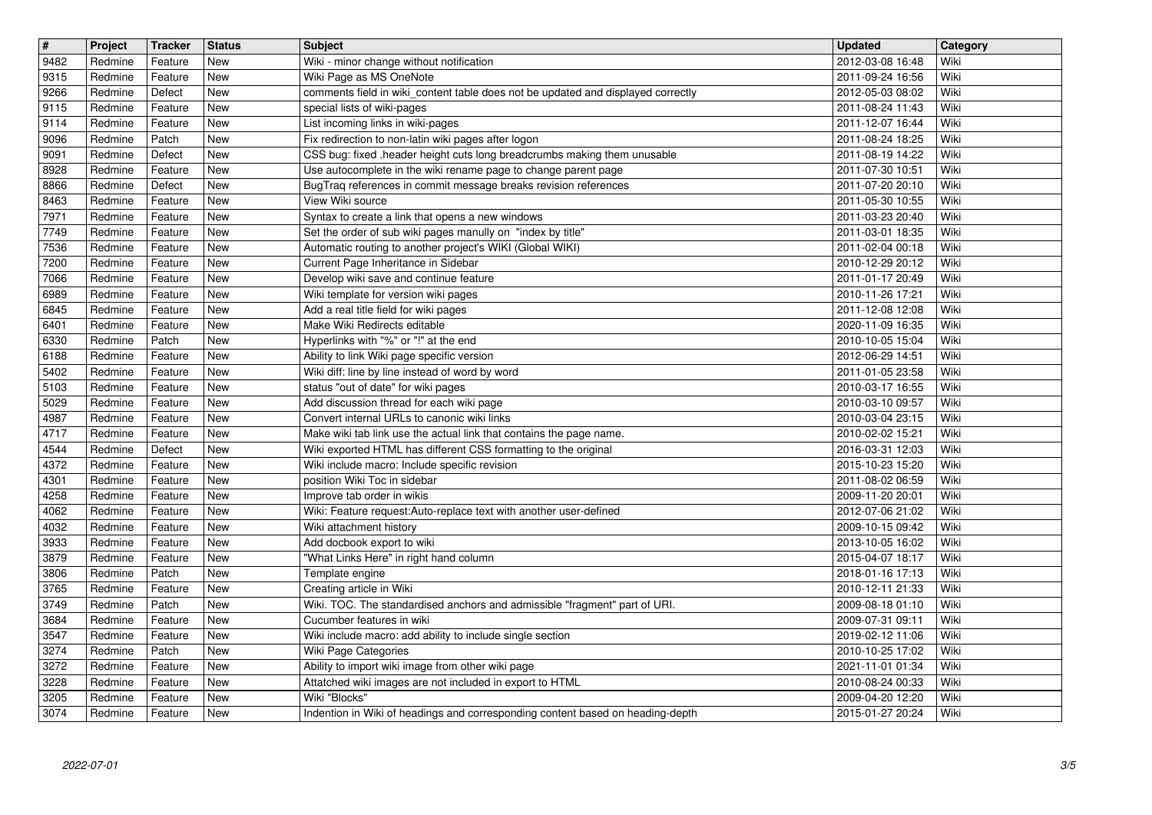| $\overline{\mathbf{H}}$ | Project            | <b>Tracker</b>     | <b>Status</b>            | <b>Subject</b>                                                                                                                             | <b>Updated</b>                       | Category     |
|-------------------------|--------------------|--------------------|--------------------------|--------------------------------------------------------------------------------------------------------------------------------------------|--------------------------------------|--------------|
| 9482                    | Redmine            | Feature            | New                      | Wiki - minor change without notification                                                                                                   | 2012-03-08 16:48                     | Wiki         |
| 9315<br>9266            | Redmine<br>Redmine | Feature<br>Defect  | <b>New</b><br>New        | Wiki Page as MS OneNote<br>comments field in wiki_content table does not be updated and displayed correctly                                | 2011-09-24 16:56<br>2012-05-03 08:02 | Wiki<br>Wiki |
| 9115                    | Redmine            | Feature            | New                      | special lists of wiki-pages                                                                                                                | 2011-08-24 11:43                     | Wiki         |
| 9114                    | Redmine            | Feature            | New                      | List incoming links in wiki-pages                                                                                                          | 2011-12-07 16:44                     | Wiki         |
| 9096                    | Redmine            | Patch              | New                      | Fix redirection to non-latin wiki pages after logon                                                                                        | 2011-08-24 18:25                     | Wiki         |
| 9091<br>8928            | Redmine<br>Redmine | Defect<br>Feature  | New<br>New               | CSS bug: fixed .header height cuts long breadcrumbs making them unusable<br>Use autocomplete in the wiki rename page to change parent page | 2011-08-19 14:22<br>2011-07-30 10:51 | Wiki<br>Wiki |
| 8866                    | Redmine            | Defect             | <b>New</b>               | BugTraq references in commit message breaks revision references                                                                            | 2011-07-20 20:10                     | Wiki         |
| 8463                    | Redmine            | Feature            | New                      | View Wiki source                                                                                                                           | 2011-05-30 10:55                     | Wiki         |
| 7971<br>7749            | Redmine<br>Redmine | Feature<br>Feature | <b>New</b><br><b>New</b> | Syntax to create a link that opens a new windows<br>Set the order of sub wiki pages manully on "index by title"                            | 2011-03-23 20:40<br>2011-03-01 18:35 | Wiki<br>Wiki |
| 7536                    | Redmine            | Feature            | New                      | Automatic routing to another project's WIKI (Global WIKI)                                                                                  | 2011-02-04 00:18                     | Wiki         |
| 7200                    | Redmine            | Feature            | New                      | Current Page Inheritance in Sidebar                                                                                                        | 2010-12-29 20:12                     | Wiki         |
| 7066                    | Redmine            | Feature            | New                      | Develop wiki save and continue feature                                                                                                     | 2011-01-17 20:49                     | Wiki         |
| 6989<br>6845            | Redmine<br>Redmine | Feature<br>Feature | New<br>New               | Wiki template for version wiki pages<br>Add a real title field for wiki pages                                                              | 2010-11-26 17:21<br>2011-12-08 12:08 | Wiki<br>Wiki |
| 6401                    | Redmine            | Feature            | <b>New</b>               | Make Wiki Redirects editable                                                                                                               | 2020-11-09 16:35                     | Wiki         |
| 6330                    | Redmine            | Patch              | <b>New</b>               | Hyperlinks with "%" or "!" at the end                                                                                                      | 2010-10-05 15:04                     | Wiki         |
| 6188<br>5402            | Redmine<br>Redmine | Feature<br>Feature | <b>New</b><br>New        | Ability to link Wiki page specific version<br>Wiki diff: line by line instead of word by word                                              | 2012-06-29 14:51<br>2011-01-05 23:58 | Wiki<br>Wiki |
| 5103                    | Redmine            | Feature            | New                      | status "out of date" for wiki pages                                                                                                        | 2010-03-17 16:55                     | Wiki         |
| 5029                    | Redmine            | Feature            | New                      | Add discussion thread for each wiki page                                                                                                   | 2010-03-10 09:57                     | Wiki         |
| 4987                    | Redmine            | Feature            | New                      | Convert internal URLs to canonic wiki links                                                                                                | 2010-03-04 23:15                     | Wiki         |
| 4717<br>4544            | Redmine<br>Redmine | Feature<br>Defect  | New<br>New               | Make wiki tab link use the actual link that contains the page name.<br>Wiki exported HTML has different CSS formatting to the original     | 2010-02-02 15:21<br>2016-03-31 12:03 | Wiki<br>Wiki |
| 4372                    | Redmine            | Feature            | New                      | Wiki include macro: Include specific revision                                                                                              | 2015-10-23 15:20                     | Wiki         |
| 4301                    | Redmine            | Feature            | <b>New</b>               | position Wiki Toc in sidebar                                                                                                               | 2011-08-02 06:59                     | Wiki         |
| 4258<br>4062            | Redmine<br>Redmine | Feature<br>Feature | <b>New</b><br><b>New</b> | Improve tab order in wikis<br>Wiki: Feature request:Auto-replace text with another user-defined                                            | 2009-11-20 20:01<br>2012-07-06 21:02 | Wiki<br>Wiki |
| 4032                    | Redmine            | Feature            | New                      | Wiki attachment history                                                                                                                    | 2009-10-15 09:42                     | Wiki         |
| 3933                    | Redmine            | Feature            | New                      | Add docbook export to wiki                                                                                                                 | 2013-10-05 16:02                     | Wiki         |
| 3879                    | Redmine            | Feature            | New                      | "What Links Here" in right hand column                                                                                                     | 2015-04-07 18:17                     | Wiki         |
| 3806<br>3765            | Redmine<br>Redmine | Patch<br>Feature   | New<br>New               | Template engine<br>Creating article in Wiki                                                                                                | 2018-01-16 17:13<br>2010-12-11 21:33 | Wiki<br>Wiki |
| 3749                    | Redmine            | Patch              | New                      | Wiki. TOC. The standardised anchors and admissible "fragment" part of URI.                                                                 | 2009-08-18 01:10                     | Wiki         |
| 3684                    | Redmine            | Feature            | New                      | Cucumber features in wiki                                                                                                                  | 2009-07-31 09:11                     | Wiki         |
| 3547                    | Redmine            | Feature            | New<br>New               | Wiki include macro: add ability to include single section                                                                                  | 2019-02-12 11:06                     | Wiki         |
| $3274$<br>3272          | Redmine<br>Redmine | Patch<br>Feature   | New                      | Wiki Page Categories<br>Ability to import wiki image from other wiki page                                                                  | 2010-10-25 17:02<br>2021-11-01 01:34 | Wiki<br>Wiki |
| 3228                    | Redmine            | Feature            | New                      | Attatched wiki images are not included in export to HTML                                                                                   | 2010-08-24 00:33                     | Wiki         |
| 3205<br>3074            | Redmine<br>Redmine | Feature<br>Feature | New<br>New               | Wiki "Blocks"<br>Indention in Wiki of headings and corresponding content based on heading-depth                                            | 2009-04-20 12:20<br>2015-01-27 20:24 | Wiki<br>Wiki |
|                         |                    |                    |                          |                                                                                                                                            |                                      |              |
|                         |                    |                    |                          |                                                                                                                                            |                                      |              |
|                         |                    |                    |                          |                                                                                                                                            |                                      |              |
|                         |                    |                    |                          |                                                                                                                                            |                                      |              |
|                         |                    |                    |                          |                                                                                                                                            |                                      |              |
|                         |                    |                    |                          |                                                                                                                                            |                                      |              |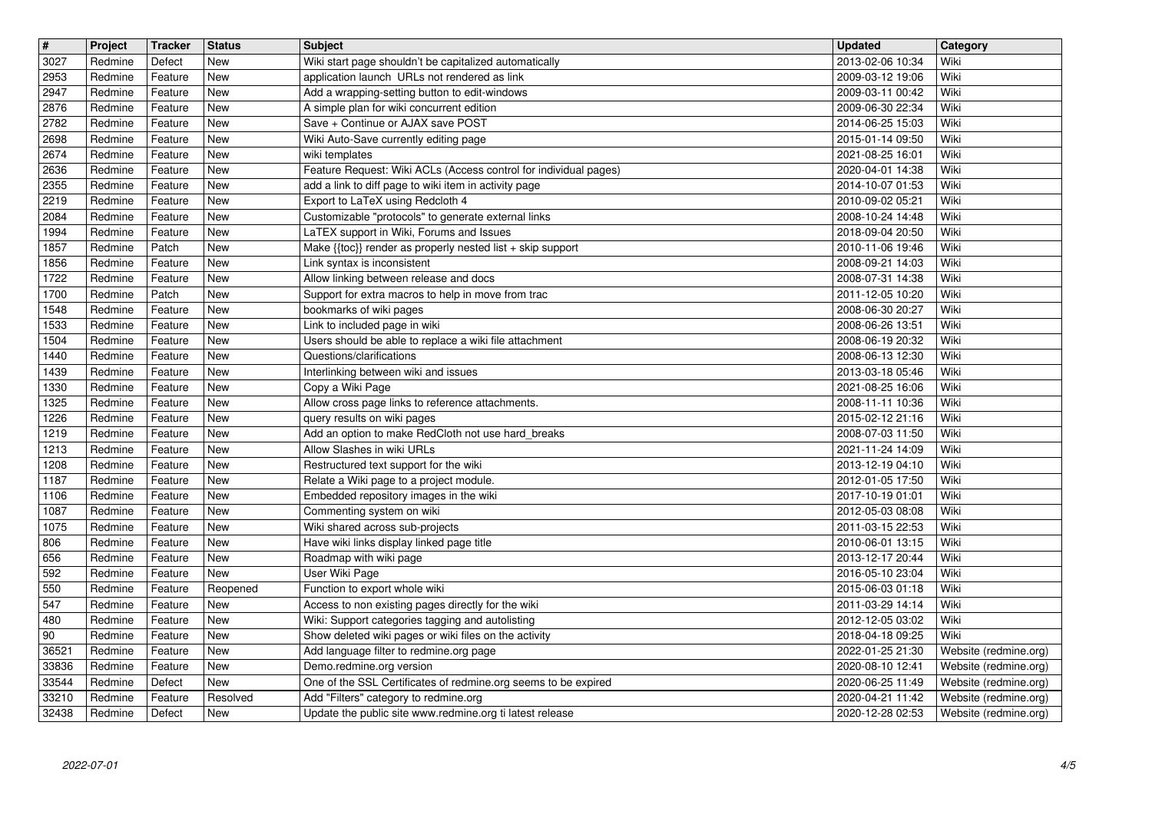| $\overline{\mathbf{t}}$ | Project            | <b>Tracker</b>     | <b>Status</b>            | <b>Subject</b>                                                                                                            | <b>Updated</b>                       | <b>Category</b>                                |
|-------------------------|--------------------|--------------------|--------------------------|---------------------------------------------------------------------------------------------------------------------------|--------------------------------------|------------------------------------------------|
| 3027<br>2953            | Redmine<br>Redmine | Defect<br>Feature  | New<br>New               | Wiki start page shouldn't be capitalized automatically<br>application launch URLs not rendered as link                    | 2013-02-06 10:34<br>2009-03-12 19:06 | Wiki<br>Wiki                                   |
| 2947                    | Redmine            | Feature            | New                      | Add a wrapping-setting button to edit-windows                                                                             | 2009-03-11 00:42                     | Wiki                                           |
| 2876                    | Redmine            | Feature            | New                      | A simple plan for wiki concurrent edition                                                                                 | 2009-06-30 22:34                     | Wiki                                           |
| 2782<br>2698            | Redmine<br>Redmine | Feature<br>Feature | New<br>New               | Save + Continue or AJAX save POST<br>Wiki Auto-Save currently editing page                                                | 2014-06-25 15:03<br>2015-01-14 09:50 | Wiki<br>Wiki                                   |
| 2674                    | Redmine            | Feature            | New                      | wiki templates                                                                                                            | 2021-08-25 16:01                     | Wiki                                           |
| 2636<br>2355            | Redmine<br>Redmine | Feature<br>Feature | New<br>New               | Feature Request: Wiki ACLs (Access control for individual pages)<br>add a link to diff page to wiki item in activity page | 2020-04-01 14:38<br>2014-10-07 01:53 | Wiki<br>Wiki                                   |
| 2219                    | Redmine            | Feature            | New                      | Export to LaTeX using Redcloth 4                                                                                          | 2010-09-02 05:21                     | Wiki                                           |
| 2084<br>1994            | Redmine<br>Redmine | Feature<br>Feature | <b>New</b><br><b>New</b> | Customizable "protocols" to generate external links<br>LaTEX support in Wiki, Forums and Issues                           | 2008-10-24 14:48<br>2018-09-04 20:50 | Wiki<br>Wiki                                   |
| 1857                    | Redmine            | Patch              | <b>New</b>               | Make {{toc}} render as properly nested list + skip support                                                                | 2010-11-06 19:46                     | Wiki                                           |
| 1856<br>1722            | Redmine<br>Redmine | Feature<br>Feature | New<br>New               | Link syntax is inconsistent<br>Allow linking between release and docs                                                     | 2008-09-21 14:03<br>2008-07-31 14:38 | Wiki<br>Wiki                                   |
| 1700                    | Redmine            | Patch              | New                      | Support for extra macros to help in move from trac                                                                        | 2011-12-05 10:20                     | Wiki                                           |
| 1548<br>1533            | Redmine<br>Redmine | Feature<br>Feature | New<br>New               | bookmarks of wiki pages<br>Link to included page in wiki                                                                  | 2008-06-30 20:27<br>2008-06-26 13:51 | Wiki<br>Wiki                                   |
| 1504                    | Redmine            | Feature            | New                      | Users should be able to replace a wiki file attachment                                                                    | 2008-06-19 20:32                     | Wiki                                           |
| 1440                    | Redmine            | Feature            | New<br><b>New</b>        | Questions/clarifications                                                                                                  | 2008-06-13 12:30                     | Wiki<br>Wiki                                   |
| 1439<br>1330            | Redmine<br>Redmine | Feature<br>Feature | New                      | Interlinking between wiki and issues<br>Copy a Wiki Page                                                                  | 2013-03-18 05:46<br>2021-08-25 16:06 | Wiki                                           |
| 1325                    | Redmine            | Feature            | New                      | Allow cross page links to reference attachments.                                                                          | 2008-11-11 10:36                     | Wiki                                           |
| 1226<br>1219            | Redmine<br>Redmine | Feature<br>Feature | New<br>New               | query results on wiki pages<br>Add an option to make RedCloth not use hard_breaks                                         | 2015-02-12 21:16<br>2008-07-03 11:50 | Wiki<br>Wiki                                   |
| 1213                    | Redmine            | Feature            | New                      | Allow Slashes in wiki URLs                                                                                                | 2021-11-24 14:09                     | Wiki                                           |
| 1208<br>1187            | Redmine<br>Redmine | Feature<br>Feature | New<br>New               | Restructured text support for the wiki<br>Relate a Wiki page to a project module.                                         | 2013-12-19 04:10<br>2012-01-05 17:50 | Wiki<br>Wiki                                   |
| 1106                    | Redmine            | Feature            | <b>New</b>               | Embedded repository images in the wiki                                                                                    | 2017-10-19 01:01                     | Wiki                                           |
| 1087<br>1075            | Redmine<br>Redmine | Feature<br>Feature | New<br>New               | Commenting system on wiki<br>Wiki shared across sub-projects                                                              | 2012-05-03 08:08<br>2011-03-15 22:53 | Wiki<br>Wiki                                   |
| 806                     | Redmine            | Feature            | New                      | Have wiki links display linked page title                                                                                 | 2010-06-01 13:15                     | Wiki                                           |
| 656<br>592              | Redmine<br>Redmine | Feature<br>Feature | New<br>New               | Roadmap with wiki page<br>User Wiki Page                                                                                  | 2013-12-17 20:44<br>2016-05-10 23:04 | Wiki<br>Wiki                                   |
| 550                     | Redmine            | Feature            | Reopened                 | Function to export whole wiki                                                                                             | 2015-06-03 01:18                     | Wiki                                           |
| 547                     | Redmine            | Feature            | <b>New</b>               | Access to non existing pages directly for the wiki                                                                        | 2011-03-29 14:14                     | Wiki                                           |
| 480<br>90               | Redmine<br>Redmine | Feature<br>Feature | <b>New</b><br>New        | Wiki: Support categories tagging and autolisting<br>Show deleted wiki pages or wiki files on the activity                 | 2012-12-05 03:02<br>2018-04-18 09:25 | Wiki<br>Wiki                                   |
| 36521                   | Redmine            | Feature            | New                      | Add language filter to redmine.org page                                                                                   | 2022-01-25 21:30                     | Website (redmine.org)                          |
| 33836<br>33544          | Redmine<br>Redmine | Feature<br>Defect  | <b>New</b><br>New        | Demo.redmine.org version<br>One of the SSL Certificates of redmine.org seems to be expired                                | 2020-08-10 12:41<br>2020-06-25 11:49 | Website (redmine.org)<br>Website (redmine.org) |
| 33210<br>32438          | Redmine<br>Redmine | Feature<br>Defect  | Resolved<br>New          | Add "Filters" category to redmine.org<br>Update the public site www.redmine.org ti latest release                         | 2020-04-21 11:42<br>2020-12-28 02:53 | Website (redmine.org)<br>Website (redmine.org) |
|                         | 2022-07-01         |                    |                          |                                                                                                                           |                                      |                                                |
|                         |                    |                    |                          |                                                                                                                           |                                      |                                                |
|                         |                    |                    |                          |                                                                                                                           |                                      |                                                |
|                         |                    |                    |                          |                                                                                                                           |                                      |                                                |
|                         |                    |                    |                          |                                                                                                                           |                                      |                                                |
|                         |                    |                    |                          |                                                                                                                           |                                      |                                                |
|                         |                    |                    |                          |                                                                                                                           |                                      |                                                |
|                         |                    |                    |                          |                                                                                                                           |                                      |                                                |
|                         |                    |                    |                          |                                                                                                                           |                                      |                                                |
|                         |                    |                    |                          |                                                                                                                           |                                      |                                                |
|                         |                    |                    |                          |                                                                                                                           |                                      |                                                |
|                         |                    |                    |                          |                                                                                                                           |                                      |                                                |
|                         |                    |                    |                          |                                                                                                                           |                                      |                                                |
|                         |                    |                    |                          |                                                                                                                           |                                      |                                                |
|                         |                    |                    |                          |                                                                                                                           |                                      |                                                |
|                         |                    |                    |                          |                                                                                                                           |                                      |                                                |
|                         |                    |                    |                          |                                                                                                                           |                                      |                                                |
|                         |                    |                    |                          |                                                                                                                           |                                      |                                                |
|                         |                    |                    |                          |                                                                                                                           |                                      |                                                |
|                         |                    |                    |                          |                                                                                                                           |                                      |                                                |
|                         |                    |                    |                          |                                                                                                                           |                                      |                                                |
|                         |                    |                    |                          |                                                                                                                           |                                      |                                                |
|                         |                    |                    |                          |                                                                                                                           |                                      |                                                |
|                         |                    |                    |                          |                                                                                                                           |                                      |                                                |
|                         |                    |                    |                          |                                                                                                                           |                                      |                                                |
|                         |                    |                    |                          |                                                                                                                           |                                      |                                                |
|                         |                    |                    |                          |                                                                                                                           |                                      |                                                |
|                         |                    |                    |                          |                                                                                                                           |                                      |                                                |
|                         |                    |                    |                          |                                                                                                                           |                                      |                                                |
|                         |                    |                    |                          |                                                                                                                           |                                      |                                                |
|                         |                    |                    |                          |                                                                                                                           |                                      |                                                |
|                         |                    |                    |                          |                                                                                                                           |                                      |                                                |
|                         |                    |                    |                          |                                                                                                                           |                                      |                                                |
|                         |                    |                    |                          |                                                                                                                           |                                      |                                                |
|                         |                    |                    |                          |                                                                                                                           |                                      |                                                |
|                         |                    |                    |                          |                                                                                                                           |                                      |                                                |
|                         |                    |                    |                          |                                                                                                                           |                                      |                                                |
|                         |                    |                    |                          |                                                                                                                           |                                      |                                                |
|                         |                    |                    |                          |                                                                                                                           |                                      |                                                |
|                         |                    |                    |                          |                                                                                                                           |                                      |                                                |